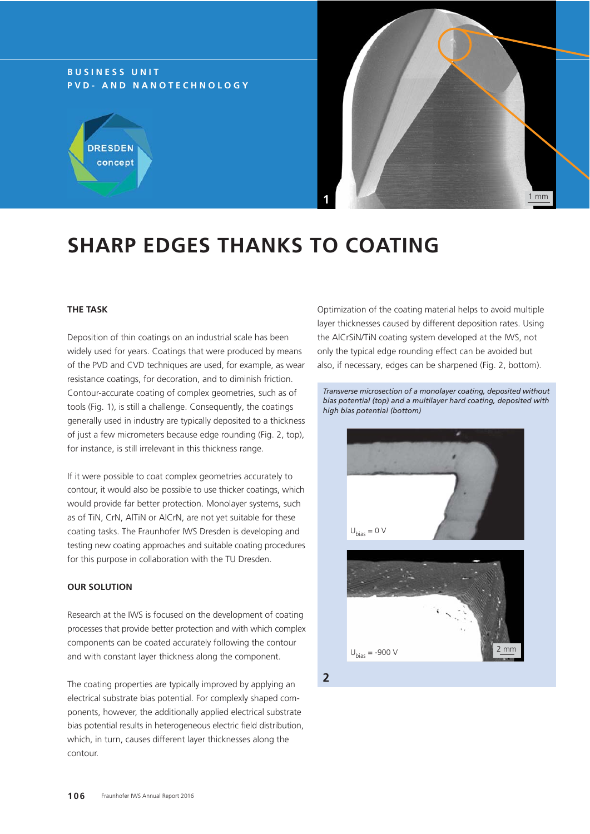## **BUSINESS UNIT PVD- AND NANOTECHNOLOGY**





# **SHARP EDGES THANKS TO COATING**

## **THE TASK**

Deposition of thin coatings on an industrial scale has been widely used for years. Coatings that were produced by means of the PVD and CVD techniques are used, for example, as wear resistance coatings, for decoration, and to diminish friction. Contour-accurate coating of complex geometries, such as of tools (Fig. 1), is still a challenge. Consequently, the coatings generally used in industry are typically deposited to a thickness of just a few micrometers because edge rounding (Fig. 2, top), for instance, is still irrelevant in this thickness range.

If it were possible to coat complex geometries accurately to contour, it would also be possible to use thicker coatings, which would provide far better protection. Monolayer systems, such as of TiN, CrN, AlTiN or AlCrN, are not yet suitable for these coating tasks. The Fraunhofer IWS Dresden is developing and testing new coating approaches and suitable coating procedures for this purpose in collaboration with the TU Dresden.

#### **OUR SOLUTION**

Research at the IWS is focused on the development of coating processes that provide better protection and with which complex components can be coated accurately following the contour and with constant layer thickness along the component.

The coating properties are typically improved by applying an electrical substrate bias potential. For complexly shaped components, however, the additionally applied electrical substrate bias potential results in heterogeneous electric field distribution, which, in turn, causes different layer thicknesses along the contour.

Optimization of the coating material helps to avoid multiple layer thicknesses caused by different deposition rates. Using the AlCrSiN/TiN coating system developed at the IWS, not only the typical edge rounding effect can be avoided but also, if necessary, edges can be sharpened (Fig. 2, bottom).

*Transverse microsection of a monolayer coating, deposited without bias potential (top) and a multilayer hard coating, deposited with high bias potential (bottom)*



**2**